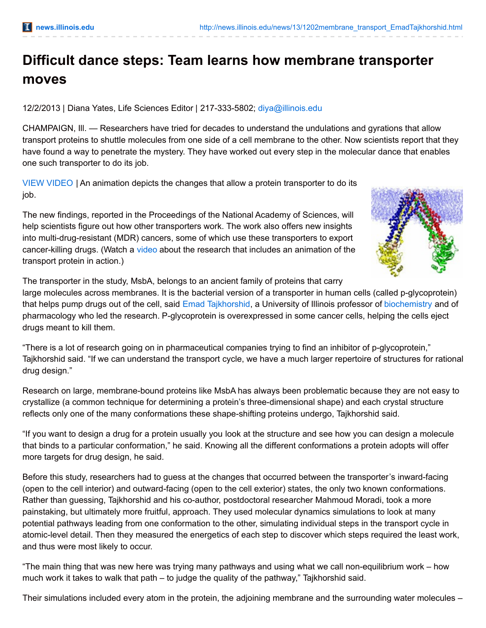## **Difficult dance steps: Team learns how membrane transporter moves**

12/2/2013 | Diana Yates, Life Sciences Editor | 217-333-5802; [diya@illinois.edu](mailto:diya@illinois.edu)

CHAMPAIGN, Ill. — Researchers have tried for decades to understand the undulations and gyrations that allow transport proteins to shuttle molecules from one side of a cell membrane to the other. Now scientists report that they have found a way to penetrate the mystery. They have worked out every step in the molecular dance that enables one such transporter to do its job.

VIEW [VIDEO](http://www.youtube.com/watch?v=jaKQRRbkwds&feature=youtu.be) | An animation depicts the changes that allow a protein transporter to do its job.

The new findings, reported in the Proceedings of the National Academy of Sciences, will help scientists figure out how other transporters work. The work also offers new insights into multi-drug-resistant (MDR) cancers, some of which use these transporters to export cancer-killing drugs. (Watch a [video](http://www.youtube.com/watch?v=jaKQRRbkwds&feature=youtu.be) about the research that includes an animation of the transport protein in action.)



The transporter in the study, MsbA, belongs to an ancient family of proteins that carry

large molecules across membranes. It is the bacterial version of a transporter in human cells (called p-glycoprotein) that helps pump drugs out of the cell, said Emad [Tajkhorshid](http://csbmb.beckman.illinois.edu/), a University of Illinois professor of [biochemistry](http://mcb.illinois.edu/departments/biochemistry) and of pharmacology who led the research. P-glycoprotein is overexpressed in some cancer cells, helping the cells eject drugs meant to kill them.

"There is a lot of research going on in pharmaceutical companies trying to find an inhibitor of p-glycoprotein," Tajkhorshid said. "If we can understand the transport cycle, we have a much larger repertoire of structures for rational drug design."

Research on large, membrane-bound proteins like MsbA has always been problematic because they are not easy to crystallize (a common technique for determining a protein's three-dimensional shape) and each crystal structure reflects only one of the many conformations these shape-shifting proteins undergo, Tajkhorshid said.

"If you want to design a drug for a protein usually you look at the structure and see how you can design a molecule that binds to a particular conformation," he said. Knowing all the different conformations a protein adopts will offer more targets for drug design, he said.

Before this study, researchers had to guess at the changes that occurred between the transporter's inward-facing (open to the cell interior) and outward-facing (open to the cell exterior) states, the only two known conformations. Rather than guessing, Tajkhorshid and his co-author, postdoctoral researcher Mahmoud Moradi, took a more painstaking, but ultimately more fruitful, approach. They used molecular dynamics simulations to look at many potential pathways leading from one conformation to the other, simulating individual steps in the transport cycle in atomic-level detail. Then they measured the energetics of each step to discover which steps required the least work, and thus were most likely to occur.

"The main thing that was new here was trying many pathways and using what we call non-equilibrium work – how much work it takes to walk that path – to judge the quality of the pathway," Tajkhorshid said.

Their simulations included every atom in the protein, the adjoining membrane and the surrounding water molecules –